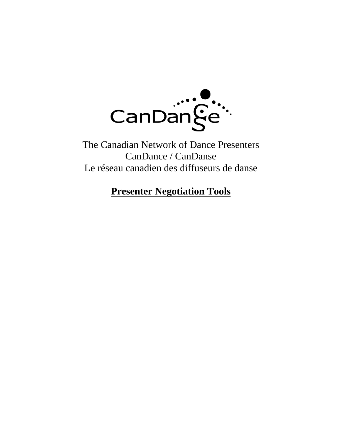

The Canadian Network of Dance Presenters CanDance / CanDanse Le réseau canadien des diffuseurs de danse

# **Presenter Negotiation Tools**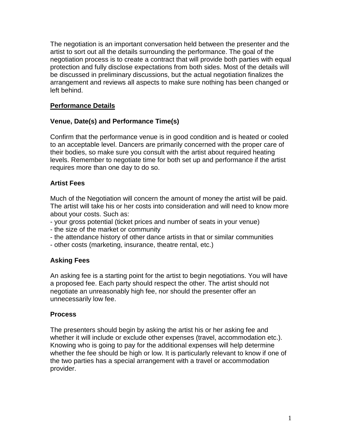The negotiation is an important conversation held between the presenter and the artist to sort out all the details surrounding the performance. The goal of the negotiation process is to create a contract that will provide both parties with equal protection and fully disclose expectations from both sides. Most of the details will be discussed in preliminary discussions, but the actual negotiation finalizes the arrangement and reviews all aspects to make sure nothing has been changed or left behind.

# **Performance Details**

# **Venue, Date(s) and Performance Time(s)**

Confirm that the performance venue is in good condition and is heated or cooled to an acceptable level. Dancers are primarily concerned with the proper care of their bodies, so make sure you consult with the artist about required heating levels. Remember to negotiate time for both set up and performance if the artist requires more than one day to do so.

# **Artist Fees**

Much of the Negotiation will concern the amount of money the artist will be paid. The artist will take his or her costs into consideration and will need to know more about your costs. Such as:

- your gross potential (ticket prices and number of seats in your venue)
- the size of the market or community
- the attendance history of other dance artists in that or similar communities
- other costs (marketing, insurance, theatre rental, etc.)

# **Asking Fees**

An asking fee is a starting point for the artist to begin negotiations. You will have a proposed fee. Each party should respect the other. The artist should not negotiate an unreasonably high fee, nor should the presenter offer an unnecessarily low fee.

# **Process**

The presenters should begin by asking the artist his or her asking fee and whether it will include or exclude other expenses (travel, accommodation etc.). Knowing who is going to pay for the additional expenses will help determine whether the fee should be high or low. It is particularly relevant to know if one of the two parties has a special arrangement with a travel or accommodation provider.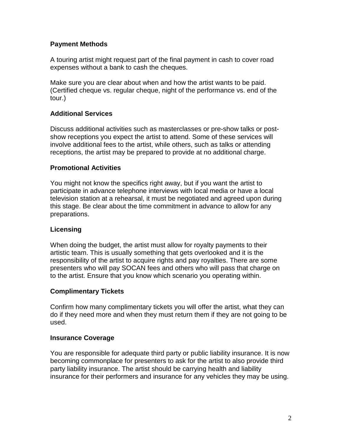## **Payment Methods**

A touring artist might request part of the final payment in cash to cover road expenses without a bank to cash the cheques.

Make sure you are clear about when and how the artist wants to be paid. (Certified cheque vs. regular cheque, night of the performance vs. end of the tour.)

#### **Additional Services**

Discuss additional activities such as masterclasses or pre-show talks or postshow receptions you expect the artist to attend. Some of these services will involve additional fees to the artist, while others, such as talks or attending receptions, the artist may be prepared to provide at no additional charge.

#### **Promotional Activities**

You might not know the specifics right away, but if you want the artist to participate in advance telephone interviews with local media or have a local television station at a rehearsal, it must be negotiated and agreed upon during this stage. Be clear about the time commitment in advance to allow for any preparations.

# **Licensing**

When doing the budget, the artist must allow for royalty payments to their artistic team. This is usually something that gets overlooked and it is the responsibility of the artist to acquire rights and pay royalties. There are some presenters who will pay SOCAN fees and others who will pass that charge on to the artist. Ensure that you know which scenario you operating within.

# **Complimentary Tickets**

Confirm how many complimentary tickets you will offer the artist, what they can do if they need more and when they must return them if they are not going to be used.

#### **Insurance Coverage**

You are responsible for adequate third party or public liability insurance. It is now becoming commonplace for presenters to ask for the artist to also provide third party liability insurance. The artist should be carrying health and liability insurance for their performers and insurance for any vehicles they may be using.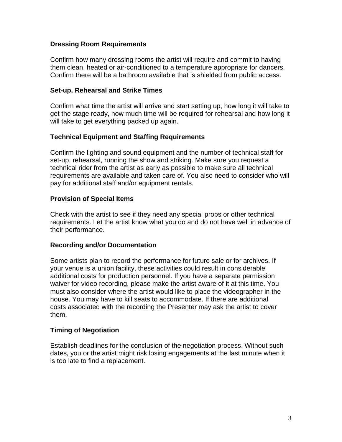#### **Dressing Room Requirements**

Confirm how many dressing rooms the artist will require and commit to having them clean, heated or air-conditioned to a temperature appropriate for dancers. Confirm there will be a bathroom available that is shielded from public access.

#### **Set-up, Rehearsal and Strike Times**

Confirm what time the artist will arrive and start setting up, how long it will take to get the stage ready, how much time will be required for rehearsal and how long it will take to get everything packed up again.

# **Technical Equipment and Staffing Requirements**

Confirm the lighting and sound equipment and the number of technical staff for set-up, rehearsal, running the show and striking. Make sure you request a technical rider from the artist as early as possible to make sure all technical requirements are available and taken care of. You also need to consider who will pay for additional staff and/or equipment rentals.

# **Provision of Special Items**

Check with the artist to see if they need any special props or other technical requirements. Let the artist know what you do and do not have well in advance of their performance.

#### **Recording and/or Documentation**

Some artists plan to record the performance for future sale or for archives. If your venue is a union facility, these activities could result in considerable additional costs for production personnel. If you have a separate permission waiver for video recording, please make the artist aware of it at this time. You must also consider where the artist would like to place the videographer in the house. You may have to kill seats to accommodate. If there are additional costs associated with the recording the Presenter may ask the artist to cover them.

# **Timing of Negotiation**

Establish deadlines for the conclusion of the negotiation process. Without such dates, you or the artist might risk losing engagements at the last minute when it is too late to find a replacement.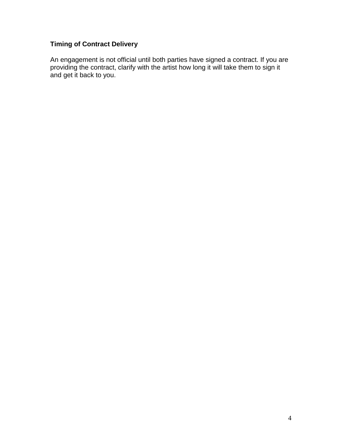# **Timing of Contract Delivery**

An engagement is not official until both parties have signed a contract. If you are providing the contract, clarify with the artist how long it will take them to sign it and get it back to you.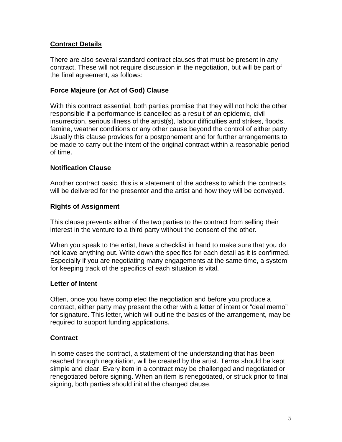## **Contract Details**

There are also several standard contract clauses that must be present in any contract. These will not require discussion in the negotiation, but will be part of the final agreement, as follows:

#### **Force Majeure (or Act of God) Clause**

With this contract essential, both parties promise that they will not hold the other responsible if a performance is cancelled as a result of an epidemic, civil insurrection, serious illness of the artist(s), labour difficulties and strikes, floods, famine, weather conditions or any other cause beyond the control of either party. Usually this clause provides for a postponement and for further arrangements to be made to carry out the intent of the original contract within a reasonable period of time.

#### **Notification Clause**

Another contract basic, this is a statement of the address to which the contracts will be delivered for the presenter and the artist and how they will be conveyed.

#### **Rights of Assignment**

This clause prevents either of the two parties to the contract from selling their interest in the venture to a third party without the consent of the other.

When you speak to the artist, have a checklist in hand to make sure that you do not leave anything out. Write down the specifics for each detail as it is confirmed. Especially if you are negotiating many engagements at the same time, a system for keeping track of the specifics of each situation is vital.

#### **Letter of Intent**

Often, once you have completed the negotiation and before you produce a contract, either party may present the other with a letter of intent or "deal memo" for signature. This letter, which will outline the basics of the arrangement, may be required to support funding applications.

# **Contract**

In some cases the contract, a statement of the understanding that has been reached through negotiation, will be created by the artist. Terms should be kept simple and clear. Every item in a contract may be challenged and negotiated or renegotiated before signing. When an item is renegotiated, or struck prior to final signing, both parties should initial the changed clause.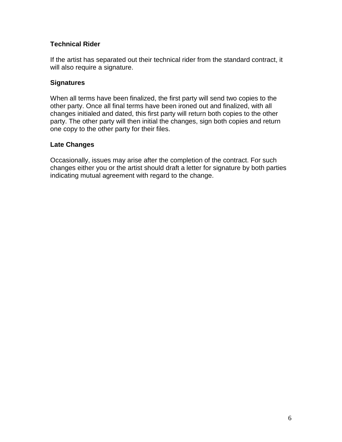## **Technical Rider**

If the artist has separated out their technical rider from the standard contract, it will also require a signature.

#### **Signatures**

When all terms have been finalized, the first party will send two copies to the other party. Once all final terms have been ironed out and finalized, with all changes initialed and dated, this first party will return both copies to the other party. The other party will then initial the changes, sign both copies and return one copy to the other party for their files.

#### **Late Changes**

Occasionally, issues may arise after the completion of the contract. For such changes either you or the artist should draft a letter for signature by both parties indicating mutual agreement with regard to the change.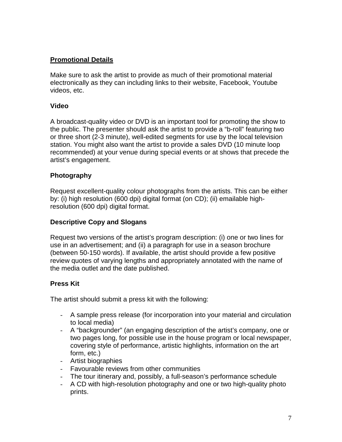# **Promotional Details**

Make sure to ask the artist to provide as much of their promotional material electronically as they can including links to their website, Facebook, Youtube videos, etc.

#### **Video**

A broadcast-quality video or DVD is an important tool for promoting the show to the public. The presenter should ask the artist to provide a "b-roll" featuring two or three short (2-3 minute), well-edited segments for use by the local television station. You might also want the artist to provide a sales DVD (10 minute loop recommended) at your venue during special events or at shows that precede the artist's engagement.

#### **Photography**

Request excellent-quality colour photographs from the artists. This can be either by: (i) high resolution (600 dpi) digital format (on CD); (ii) emailable highresolution (600 dpi) digital format.

## **Descriptive Copy and Slogans**

Request two versions of the artist's program description: (i) one or two lines for use in an advertisement; and (ii) a paragraph for use in a season brochure (between 50-150 words). If available, the artist should provide a few positive review quotes of varying lengths and appropriately annotated with the name of the media outlet and the date published.

# **Press Kit**

The artist should submit a press kit with the following:

- A sample press release (for incorporation into your material and circulation to local media)
- A "backgrounder" (an engaging description of the artist's company, one or two pages long, for possible use in the house program or local newspaper, covering style of performance, artistic highlights, information on the art form, etc.)
- Artist biographies
- Favourable reviews from other communities
- The tour itinerary and, possibly, a full-season's performance schedule
- A CD with high-resolution photography and one or two high-quality photo prints.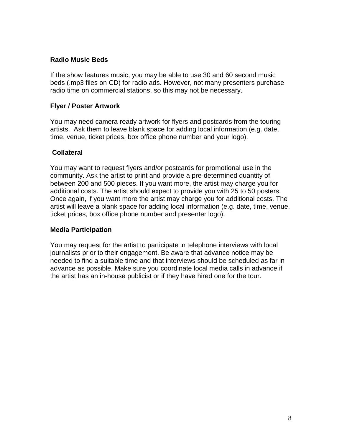#### **Radio Music Beds**

If the show features music, you may be able to use 30 and 60 second music beds (.mp3 files on CD) for radio ads. However, not many presenters purchase radio time on commercial stations, so this may not be necessary.

#### **Flyer / Poster Artwork**

You may need camera-ready artwork for flyers and postcards from the touring artists. Ask them to leave blank space for adding local information (e.g. date, time, venue, ticket prices, box office phone number and your logo).

#### **Collateral**

You may want to request flyers and/or postcards for promotional use in the community. Ask the artist to print and provide a pre-determined quantity of between 200 and 500 pieces. If you want more, the artist may charge you for additional costs. The artist should expect to provide you with 25 to 50 posters. Once again, if you want more the artist may charge you for additional costs. The artist will leave a blank space for adding local information (e.g. date, time, venue, ticket prices, box office phone number and presenter logo).

#### **Media Participation**

You may request for the artist to participate in telephone interviews with local journalists prior to their engagement. Be aware that advance notice may be needed to find a suitable time and that interviews should be scheduled as far in advance as possible. Make sure you coordinate local media calls in advance if the artist has an in-house publicist or if they have hired one for the tour.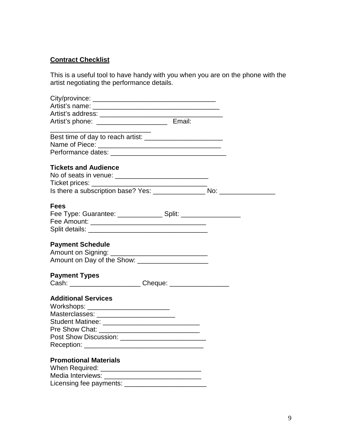# **Contract Checklist**

This is a useful tool to have handy with you when you are on the phone with the artist negotiating the performance details.

| Artist's phone: __________________________________ Email:       |  |
|-----------------------------------------------------------------|--|
|                                                                 |  |
|                                                                 |  |
|                                                                 |  |
| <b>Tickets and Audience</b>                                     |  |
|                                                                 |  |
|                                                                 |  |
|                                                                 |  |
| <b>Fees</b>                                                     |  |
|                                                                 |  |
|                                                                 |  |
|                                                                 |  |
| <b>Payment Schedule</b>                                         |  |
|                                                                 |  |
| Amount on Day of the Show: ______________________               |  |
| <b>Payment Types</b>                                            |  |
| Cash: ___________________________ Cheque: _____________________ |  |
| <b>Additional Services</b>                                      |  |
| Workshops: _________________________                            |  |
| Masterclasses: __________________________                       |  |
| Student Matinee: ________________________________               |  |
|                                                                 |  |
| Post Show Discussion: ________________________________          |  |
|                                                                 |  |
| <b>Promotional Materials</b>                                    |  |
|                                                                 |  |
|                                                                 |  |
|                                                                 |  |